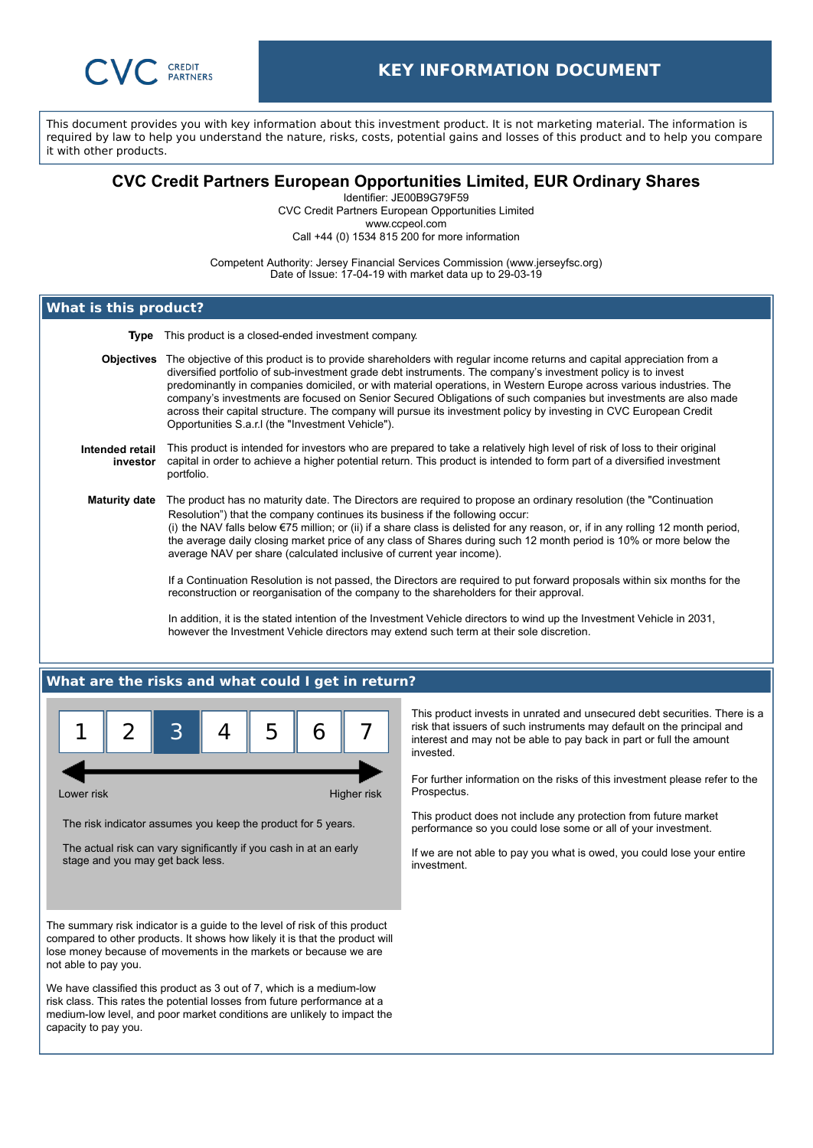

This document provides you with key information about this investment product. It is not marketing material. The information is required by law to help you understand the nature, risks, costs, potential gains and losses of this product and to help you compare it with other products.

# **CVC Credit Partners European Opportunities Limited, EUR Ordinary Shares**

Identifier: JE00B9G79F59 CVC Credit Partners European Opportunities Limited www.ccpeol.com

Call +44 (0) 1534 815 200 for more information

Competent Authority: Jersey Financial Services Commission (www.jerseyfsc.org) Date of Issue: 17-04-19 with market data up to 29-03-19

# **What is this product?**

**Type** This product is a closed-ended investment company.

 **Objectives** The objective of this product is to provide shareholders with regular income returns and capital appreciation from a diversified portfolio of sub-investment grade debt instruments. The company's investment policy is to invest predominantly in companies domiciled, or with material operations, in Western Europe across various industries. The company's investments are focused on Senior Secured Obligations of such companies but investments are also made across their capital structure. The company will pursue its investment policy by investing in CVC European Credit Opportunities S.a.r.l (the "Investment Vehicle").

#### **Intended retail investor** This product is intended for investors who are prepared to take a relatively high level of risk of loss to their original capital in order to achieve a higher potential return. This product is intended to form part of a diversified investment portfolio.

**Maturity date** The product has no maturity date. The Directors are required to propose an ordinary resolution (the "Continuation Resolution") that the company continues its business if the following occur: (i) the NAV falls below €75 million; or (ii) if a share class is delisted for any reason, or, if in any rolling 12 month period, the average daily closing market price of any class of Shares during such 12 month period is 10% or more below the average NAV per share (calculated inclusive of current year income).

> If a Continuation Resolution is not passed, the Directors are required to put forward proposals within six months for the reconstruction or reorganisation of the company to the shareholders for their approval.

In addition, it is the stated intention of the Investment Vehicle directors to wind up the Investment Vehicle in 2031, however the Investment Vehicle directors may extend such term at their sole discretion.

# **What are the risks and what could I get in return?**



Lower risk **Higher risk** Higher risk **Higher risk** 

The risk indicator assumes you keep the product for 5 years.

The actual risk can vary significantly if you cash in at an early stage and you may get back less.

The summary risk indicator is a guide to the level of risk of this product compared to other products. It shows how likely it is that the product will lose money because of movements in the markets or because we are not able to pay you.

We have classified this product as 3 out of 7, which is a medium-low risk class. This rates the potential losses from future performance at a medium-low level, and poor market conditions are unlikely to impact the capacity to pay you.

This product invests in unrated and unsecured debt securities. There is a risk that issuers of such instruments may default on the principal and interest and may not be able to pay back in part or full the amount invested.

For further information on the risks of this investment please refer to the Prospectus.

This product does not include any protection from future market performance so you could lose some or all of your investment.

If we are not able to pay you what is owed, you could lose your entire investment.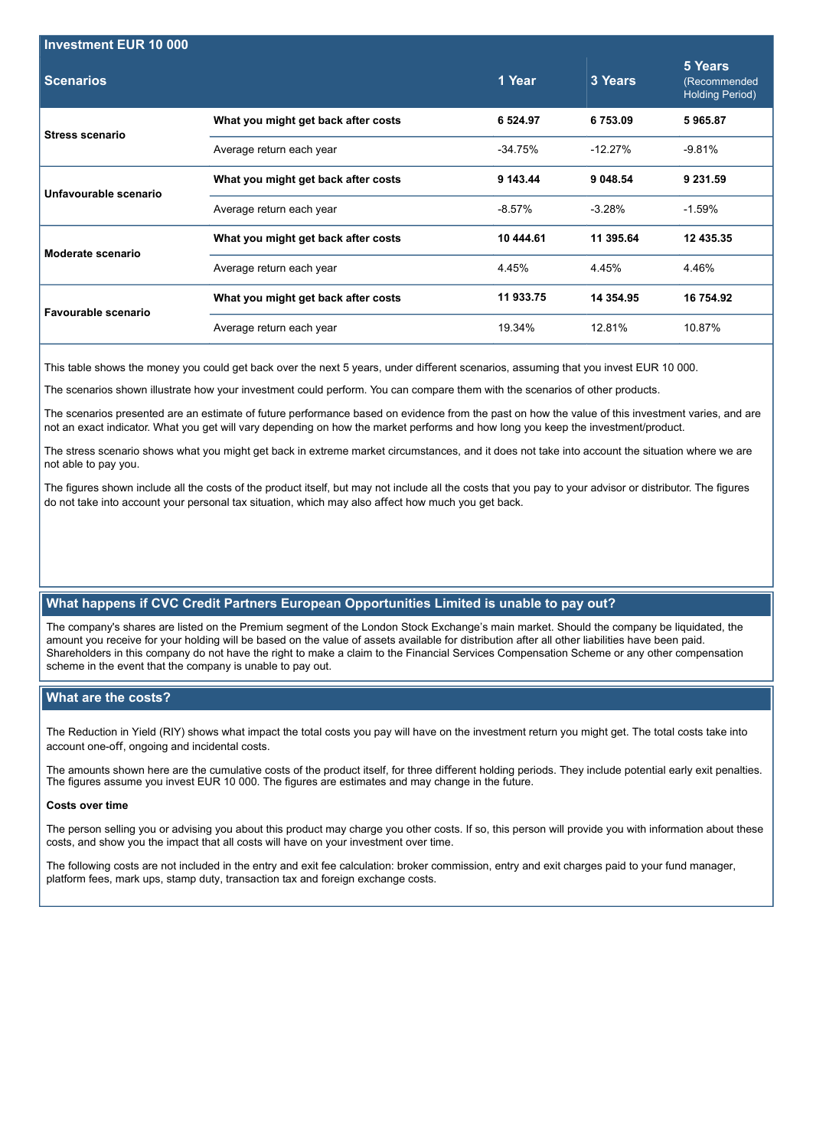| <b>Investment EUR 10 000</b> |                                     |           |            |                                                   |
|------------------------------|-------------------------------------|-----------|------------|---------------------------------------------------|
| <b>Scenarios</b>             |                                     | 1 Year    | 3 Years    | 5 Years<br>(Recommended<br><b>Holding Period)</b> |
| <b>Stress scenario</b>       | What you might get back after costs | 6 5 24 97 | 6753.09    | 5965.87                                           |
|                              | Average return each year            | $-34.75%$ | $-12.27%$  | $-9.81%$                                          |
| Unfavourable scenario        | What you might get back after costs | 9 143.44  | 9 048.54   | 9 231.59                                          |
|                              | Average return each year            | $-8.57\%$ | $-3.28%$   | $-1.59%$                                          |
| Moderate scenario            | What you might get back after costs | 10 444.61 | 11 395.64  | 12 435.35                                         |
|                              | Average return each year            | 4.45%     | 4.45%      | 4.46%                                             |
| Favourable scenario          | What you might get back after costs | 11 933.75 | 14 3 54.95 | 16 754.92                                         |
|                              | Average return each year            | 19.34%    | 12.81%     | 10.87%                                            |

This table shows the money you could get back over the next 5 years, under different scenarios, assuming that you invest EUR 10 000.

The scenarios shown illustrate how your investment could perform. You can compare them with the scenarios of other products.

The scenarios presented are an estimate of future performance based on evidence from the past on how the value of this investment varies, and are not an exact indicator. What you get will vary depending on how the market performs and how long you keep the investment/product.

The stress scenario shows what you might get back in extreme market circumstances, and it does not take into account the situation where we are not able to pay you.

The figures shown include all the costs of the product itself, but may not include all the costs that you pay to your advisor or distributor. The figures do not take into account your personal tax situation, which may also affect how much you get back.

## **What happens if CVC Credit Partners European Opportunities Limited is unable to pay out?**

The company's shares are listed on the Premium segment of the London Stock Exchange's main market. Should the company be liquidated, the amount you receive for your holding will be based on the value of assets available for distribution after all other liabilities have been paid. Shareholders in this company do not have the right to make a claim to the Financial Services Compensation Scheme or any other compensation scheme in the event that the company is unable to pay out.

## **What are the costs?**

The Reduction in Yield (RIY) shows what impact the total costs you pay will have on the investment return you might get. The total costs take into account one-off, ongoing and incidental costs.

The amounts shown here are the cumulative costs of the product itself, for three different holding periods. They include potential early exit penalties. The figures assume you invest EUR 10 000. The figures are estimates and may change in the future.

#### **Costs over time**

The person selling you or advising you about this product may charge you other costs. If so, this person will provide you with information about these costs, and show you the impact that all costs will have on your investment over time.

The following costs are not included in the entry and exit fee calculation: broker commission, entry and exit charges paid to your fund manager, platform fees, mark ups, stamp duty, transaction tax and foreign exchange costs.